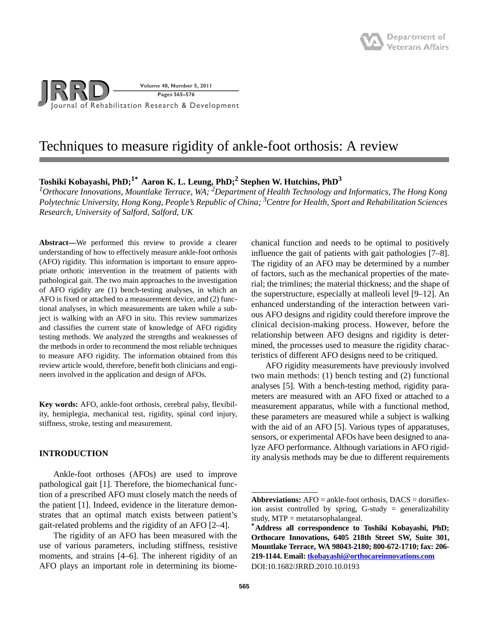

# Techniques to measure rigidity of ankle-foot orthosis: A review

## **Toshiki Kobayashi, PhD;1\* Aaron K. L. Leung, PhD;2 Stephen W. Hutchins, PhD3**

<sup>1</sup> Orthocare Innovations, Mountlake Terrace, WA; <sup>2</sup> Department of Health Technology and Informatics, The Hong Kong *Polytechnic University, Hong Kong, People's Republic of China; 3 Centre for Health, Sport and Rehabilitation Sciences Research, University of Salford, Salford, UK*

**Abstract—**We performed this review to provide a clearer understanding of how to effectively measure ankle-foot orthosis (AFO) rigidity. This information is important to ensure appropriate orthotic intervention in the treatment of patients with pathological gait. The two main approaches to the investigation of AFO rigidity are (1) bench-testing analyses, in which an AFO is fixed or attached to a measurement device, and (2) functional analyses, in which measurements are taken while a subject is walking with an AFO in situ. This review summarizes and classifies the current state of knowledge of AFO rigidity testing methods. We analyzed the strengths and weaknesses of the methods in order to recommend the most reliable techniques to measure AFO rigidity. The information obtained from this review article would, therefore, benefit both clinicians and engineers involved in the application and design of AFOs.

**Key words:** AFO, ankle-foot orthosis, cerebral palsy, flexibility, hemiplegia, mechanical test, rigidity, spinal cord injury, stiffness, stroke, testing and measurement.

## **INTRODUCTION**

Ankle-foot orthoses (AFOs) are used to improve pathological gait [1]. Therefore, the biomechanical function of a prescribed AFO must closely match the needs of the patient [1]. Indeed, evidence in the literature demonstrates that an optimal match exists between patient's gait-related problems and the rigidity of an AFO [2–4].

The rigidity of an AFO has been measured with the use of various parameters, including stiffness, resistive moments, and strains [4–6]. The inherent rigidity of an AFO plays an important role in determining its biomechanical function and needs to be optimal to positively influence the gait of patients with gait pathologies [7–8]. The rigidity of an AFO may be determined by a number of factors, such as the mechanical properties of the material; the trimlines; the material thickness; and the shape of the superstructure, especially at malleoli level [9–12]. An enhanced understanding of the interaction between various AFO designs and rigidity could therefore improve the clinical decision-making process. However, before the relationship between AFO designs and rigidity is determined, the processes used to measure the rigidity characteristics of different AFO designs need to be critiqued.

AFO rigidity measurements have previously involved two main methods: (1) bench testing and (2) functional analyses [5]. With a bench-testing method, rigidity parameters are measured with an AFO fixed or attached to a measurement apparatus, while with a functional method, these parameters are measured while a subject is walking with the aid of an AFO [5]. Various types of apparatuses, sensors, or experimental AFOs have been designed to analyze AFO performance. Although variations in AFO rigidity analysis methods may be due to different requirements

**Abbreviations:** AFO = ankle-foot orthosis, DACS = dorsiflexion assist controlled by spring, G-study  $=$  generalizability study,  $MTP = metatorsophalangeal$ .

**<sup>\*</sup>Address all correspondence to Toshiki Kobayashi, PhD; Orthocare Innovations, 6405 218th Street SW, Suite 301, Mountlake Terrace, WA 98043-2180; 800-672-1710; fax: 206- 219-1144. Email: [tkobayashi@orthocareinnovations.com](mailto:tkobayashi@orthocareinnovations.com)** DOI:10.1682/JRRD.2010.10.0193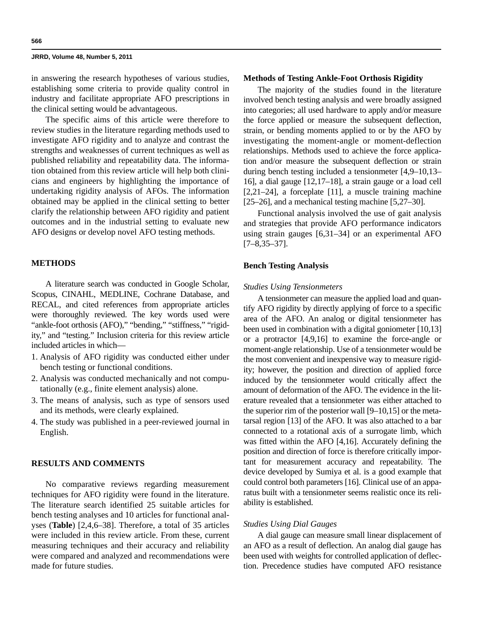in answering the research hypotheses of various studies, establishing some criteria to provide quality control in industry and facilitate appropriate AFO prescriptions in the clinical setting would be advantageous.

The specific aims of this article were therefore to review studies in the literature regarding methods used to investigate AFO rigidity and to analyze and contrast the strengths and weaknesses of current techniques as well as published reliability and repeatability data. The information obtained from this review article will help both clinicians and engineers by highlighting the importance of undertaking rigidity analysis of AFOs. The information obtained may be applied in the clinical setting to better clarify the relationship between AFO rigidity and patient outcomes and in the industrial setting to evaluate new AFO designs or develop novel AFO testing methods.

## **METHODS**

A literature search was conducted in Google Scholar, Scopus, CINAHL, MEDLINE, Cochrane Database, and RECAL, and cited references from appropriate articles were thoroughly reviewed. The key words used were "ankle-foot orthosis (AFO)," "bending," "stiffness," "rigidity," and "testing." Inclusion criteria for this review article included articles in which—

- 1. Analysis of AFO rigidity was conducted either under bench testing or functional conditions.
- 2. Analysis was conducted mechanically and not computationally (e.g., finite element analysis) alone.
- 3. The means of analysis, such as type of sensors used and its methods, were clearly explained.
- 4. The study was published in a peer-reviewed journal in English.

## **RESULTS AND COMMENTS**

No comparative reviews regarding measurement techniques for AFO rigidity were found in the literature. The literature search identified 25 suitable articles for bench testing analyses and 10 articles for functional analyses (**Table**) [2,4,6–38]. Therefore, a total of 35 articles were included in this review article. From these, current measuring techniques and their accuracy and reliability were compared and analyzed and recommendations were made for future studies.

#### **Methods of Testing Ankle-Foot Orthosis Rigidity**

The majority of the studies found in the literature involved bench testing analysis and were broadly assigned into categories; all used hardware to apply and/or measure the force applied or measure the subsequent deflection, strain, or bending moments applied to or by the AFO by investigating the moment-angle or moment-deflection relationships. Methods used to achieve the force application and/or measure the subsequent deflection or strain during bench testing included a tensionmeter [4,9–10,13– 16], a dial gauge [12,17–18], a strain gauge or a load cell [2,21–24], a forceplate [11], a muscle training machine [25–26], and a mechanical testing machine [5,27–30].

Functional analysis involved the use of gait analysis and strategies that provide AFO performance indicators using strain gauges [6,31–34] or an experimental AFO [7–8,35–37].

## **Bench Testing Analysis**

#### *Studies Using Tensionmeters*

A tensionmeter can measure the applied load and quantify AFO rigidity by directly applying of force to a specific area of the AFO. An analog or digital tensionmeter has been used in combination with a digital goniometer [10,13] or a protractor [4,9,16] to examine the force-angle or moment-angle relationship. Use of a tensionmeter would be the most convenient and inexpensive way to measure rigidity; however, the position and direction of applied force induced by the tensionmeter would critically affect the amount of deformation of the AFO. The evidence in the literature revealed that a tensionmeter was either attached to the superior rim of the posterior wall [9–10,15] or the metatarsal region [13] of the AFO. It was also attached to a bar connected to a rotational axis of a surrogate limb, which was fitted within the AFO [4,16]. Accurately defining the position and direction of force is therefore critically important for measurement accuracy and repeatability. The device developed by Sumiya et al. is a good example that could control both parameters [16]. Clinical use of an apparatus built with a tensionmeter seems realistic once its reliability is established.

## *Studies Using Dial Gauges*

A dial gauge can measure small linear displacement of an AFO as a result of deflection. An analog dial gauge has been used with weights for controlled application of deflection. Precedence studies have computed AFO resistance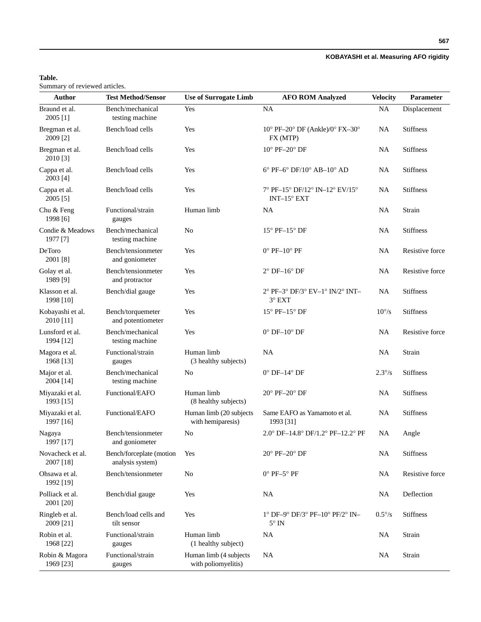## **KOBAYASHI et al. Measuring AFO rigidity**

## **Table.**

Summary of reviewed articles.

| <b>Author</b>                 | <b>Test Method/Sensor</b>                    | <b>Use of Surrogate Limb</b>                  | <b>AFO ROM Analyzed</b>                                          | <b>Velocity</b> | Parameter        |
|-------------------------------|----------------------------------------------|-----------------------------------------------|------------------------------------------------------------------|-----------------|------------------|
| Braund et al.<br>2005 [1]     | Bench/mechanical<br>testing machine          | Yes                                           | <b>NA</b>                                                        | <b>NA</b>       | Displacement     |
| Bregman et al.<br>2009 [2]    | Bench/load cells                             | Yes                                           | $10^{\circ}$ PF-20° DF (Ankle)/0° FX-30°<br>FX (MTP)             | <b>NA</b>       | <b>Stiffness</b> |
| Bregman et al.<br>2010 [3]    | Bench/load cells                             | Yes                                           | $10^{\circ}$ PF-20 $^{\circ}$ DF                                 | NA              | <b>Stiffness</b> |
| Cappa et al.<br>2003 [4]      | Bench/load cells                             | Yes                                           | $6^{\circ}$ PF- $6^{\circ}$ DF/10 $^{\circ}$ AB-10 $^{\circ}$ AD | NA              | <b>Stiffness</b> |
| Cappa et al.<br>2005 [5]      | Bench/load cells                             | Yes                                           | 7° PF-15° DF/12° IN-12° EV/15°<br>$INT-15^{\circ}$ EXT           | <b>NA</b>       | <b>Stiffness</b> |
| Chu & Feng<br>1998 [6]        | Functional/strain<br>gauges                  | Human limb                                    | <b>NA</b>                                                        | <b>NA</b>       | Strain           |
| Condie & Meadows<br>1977 [7]  | Bench/mechanical<br>testing machine          | N <sub>o</sub>                                | $15^{\circ}$ PF- $15^{\circ}$ DF                                 | <b>NA</b>       | <b>Stiffness</b> |
| DeToro<br>2001 [8]            | Bench/tensionmeter<br>and goniometer         | Yes                                           | $0^{\circ}$ PF- $10^{\circ}$ PF                                  | <b>NA</b>       | Resistive force  |
| Golay et al.<br>1989 [9]      | Bench/tensionmeter<br>and protractor         | Yes                                           | $2°$ DF- $16°$ DF                                                | <b>NA</b>       | Resistive force  |
| Klasson et al.<br>1998 [10]   | Bench/dial gauge                             | Yes                                           | 2° PF-3° DF/3° EV-1° IN/2° INT-<br>$3°$ EXT                      | <b>NA</b>       | <b>Stiffness</b> |
| Kobayashi et al.<br>2010 [11] | Bench/torquemeter<br>and potentiometer       | Yes                                           | $15^{\circ}$ PF- $15^{\circ}$ DF                                 | $10^{\circ}/s$  | <b>Stiffness</b> |
| Lunsford et al.<br>1994 [12]  | Bench/mechanical<br>testing machine          | Yes                                           | $0^{\circ}$ DF- $10^{\circ}$ DF                                  | <b>NA</b>       | Resistive force  |
| Magora et al.<br>1968 [13]    | Functional/strain<br>gauges                  | Human limb<br>(3 healthy subjects)            | <b>NA</b>                                                        | <b>NA</b>       | Strain           |
| Major et al.<br>2004 [14]     | Bench/mechanical<br>testing machine          | N <sub>o</sub>                                | $0^{\circ}$ DF-14 $^{\circ}$ DF                                  | $2.3^{\circ}/s$ | Stiffness        |
| Miyazaki et al.<br>1993 [15]  | Functional/EAFO                              | Human limb<br>(8 healthy subjects)            | $20^{\circ}$ PF- $20^{\circ}$ DF                                 | <b>NA</b>       | <b>Stiffness</b> |
| Miyazaki et al.<br>1997 [16]  | Functional/EAFO                              | Human limb (20 subjects<br>with hemiparesis)  | Same EAFO as Yamamoto et al.<br>1993 [31]                        | NA              | <b>Stiffness</b> |
| Nagaya<br>1997 [17]           | Bench/tensionmeter<br>and goniometer         | No                                            | 2.0° DF-14.8° DF/1.2° PF-12.2° PF                                | NA              | Angle            |
| Novacheck et al.<br>2007 [18] | Bench/forceplate (motion<br>analysis system) | Yes                                           | $20^{\circ}$ PF- $20^{\circ}$ DF                                 | NA              | <b>Stiffness</b> |
| Ohsawa et al.<br>1992 [19]    | Bench/tensionmeter                           | No                                            | $0^{\circ}$ PF-5° PF                                             | <b>NA</b>       | Resistive force  |
| Polliack et al.<br>2001 [20]  | Bench/dial gauge                             | Yes                                           | <b>NA</b>                                                        | <b>NA</b>       | Deflection       |
| Ringleb et al.<br>2009 [21]   | Bench/load cells and<br>tilt sensor          | Yes                                           | 1° DF-9° DF/3° PF-10° PF/2° IN-<br>$5^{\circ}$ IN                | $0.5\%$         | <b>Stiffness</b> |
| Robin et al.<br>1968 [22]     | Functional/strain<br>gauges                  | Human limb<br>(1 healthy subject)             | <b>NA</b>                                                        | <b>NA</b>       | Strain           |
| Robin & Magora<br>1969 [23]   | Functional/strain<br>gauges                  | Human limb (4 subjects<br>with poliomyelitis) | <b>NA</b>                                                        | <b>NA</b>       | Strain           |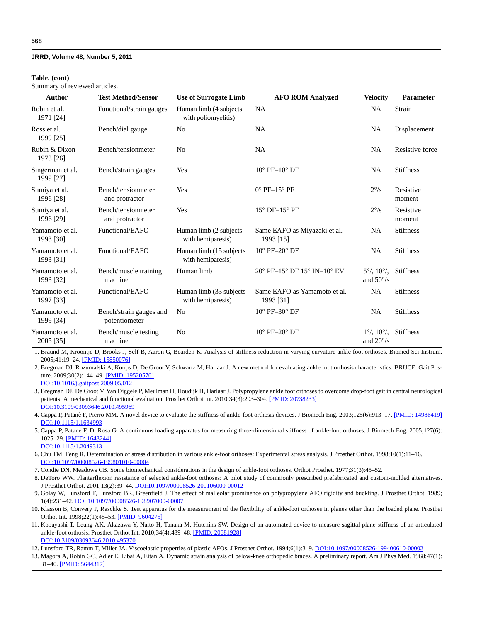#### **Table. (cont)**

Summary of reviewed articles.

| <b>Author</b>                 | <b>Test Method/Sensor</b>                | <b>Use of Surrogate Limb</b>                  | <b>AFO ROM Analyzed</b>                   | <b>Velocity</b>                                 | Parameter           |
|-------------------------------|------------------------------------------|-----------------------------------------------|-------------------------------------------|-------------------------------------------------|---------------------|
| Robin et al.<br>1971 [24]     | Functional/strain gauges                 | Human limb (4 subjects<br>with poliomyelitis) | <b>NA</b>                                 | <b>NA</b>                                       | Strain              |
| Ross et al.<br>1999 [25]      | Bench/dial gauge                         | No                                            | <b>NA</b>                                 | <b>NA</b>                                       | Displacement        |
| Rubin & Dixon<br>1973 [26]    | Bench/tensionmeter                       | No                                            | <b>NA</b>                                 | <b>NA</b>                                       | Resistive force     |
| Singerman et al.<br>1999 [27] | Bench/strain gauges                      | Yes                                           | $10^{\circ}$ PF- $10^{\circ}$ DF          | <b>NA</b>                                       | <b>Stiffness</b>    |
| Sumiya et al.<br>1996 [28]    | Bench/tensionmeter<br>and protractor     | Yes                                           | $0^{\circ}$ PF-15 $^{\circ}$ PF           | $2^{\circ}/s$                                   | Resistive<br>moment |
| Sumiya et al.<br>1996 [29]    | Bench/tensionmeter<br>and protractor     | Yes                                           | $15^{\circ}$ DF- $15^{\circ}$ PF          | $2^{\circ}/s$                                   | Resistive<br>moment |
| Yamamoto et al.<br>1993 [30]  | Functional/EAFO                          | Human limb (2 subjects)<br>with hemiparesis)  | Same EAFO as Miyazaki et al.<br>1993 [15] | <b>NA</b>                                       | <b>Stiffness</b>    |
| Yamamoto et al.<br>1993 [31]  | Functional/EAFO                          | Human limb (15 subjects)<br>with hemiparesis) | $10^{\circ}$ PF-20 $^{\circ}$ DF          | <b>NA</b>                                       | <b>Stiffness</b>    |
| Yamamoto et al.<br>1993 [32]  | Bench/muscle training<br>machine         | Human limb                                    | 20° PF-15° DF 15° IN-10° EV               | $5^{\circ}/.10^{\circ}/.$<br>and $50^{\circ}/s$ | <b>Stiffness</b>    |
| Yamamoto et al.<br>1997 [33]  | Functional/EAFO                          | Human limb (33 subjects)<br>with hemiparesis) | Same EAFO as Yamamoto et al.<br>1993 [31] | <b>NA</b>                                       | <b>Stiffness</b>    |
| Yamamoto et al.<br>1999 [34]  | Bench/strain gauges and<br>potentiometer | No                                            | $10^{\circ}$ PF-30 $^{\circ}$ DF          | <b>NA</b>                                       | <b>Stiffness</b>    |
| Yamamoto et al.<br>2005 [35]  | Bench/muscle testing<br>machine          | No                                            | $10^{\circ}$ PF-20 $^{\circ}$ DF          | $1^{\circ}/.10^{\circ}/.$<br>and $20^{\circ}/s$ | <b>Stiffness</b>    |

 1. Braund M, Kroontje D, Brooks J, Self B, Aaron G, Bearden K. Analysis of stiffness reduction in varying curvature ankle foot orthoses. Biomed Sci Instrum. 2005;41:19–24. [\[PMID: 15850076\]](http://www.ncbi.nlm.nih.gov/pubmed/15850076)

 2. Bregman DJ, Rozumalski A, Koops D, De Groot V, Schwartz M, Harlaar J. A new method for evaluating ankle foot orthosis characteristics: BRUCE. Gait Pos-ture. 2009;30(2):144-49. [\[PMID: 19520576\]](http://www.ncbi.nlm.nih.gov/pubmed/19520576) [DOI:10.1016/j.gaitpost.2009.05.012](http://dx.doi.org/10.1016/j.gaitpost.2009.05.012)

 3. Bregman DJ, De Groot V, Van Diggele P, Meulman H, Houdijk H, Harlaar J. Polypropylene ankle foot orthoses to overcome drop-foot gait in central neurological patients: A mechanical and functional evaluation. Prosthet Orthot Int. 2010;34(3):293–304. [\[PMID: 20738233\]](http://www.ncbi.nlm.nih.gov/pubmed/20738233) [DOI:10.3109/03093646.2010.495969](http://dx.doi.org/10.3109/03093646.2010.495969)

 4. Cappa P, Patanè F, Pierro MM. A novel device to evaluate the stiffness of ankle-foot orthosis devices. J Biomech Eng. 2003;125(6):913–17. [\[PMID: 14986419\]](http://www.ncbi.nlm.nih.gov/pubmed/14986419) [DOI:10.1115/1.1634993](http://dx.doi.org/10.1115/1.1634993)

- 5. Cappa P, Patanè F, Di Rosa G. A continuous loading apparatus for measuring three-dimensional stiffness of ankle-foot orthoses. J Biomech Eng. 2005;127(6): 1025–29. [\[PMID: 1643244\]](http://www.ncbi.nlm.nih.gov/pubmed/16438244)
- [DOI:10.1115/1.2049313](http://dx.doi.org/10.1115/1.2049313)
- 6. Chu TM, Feng R. Determination of stress distribution in various ankle-foot orthoses: Experimental stress analysis. J Prosthet Orthot. 1998;10(1):11–16. [DOI:10.1097/00008526-199801010-00004](http://dx.doi.org/10.1097/00008526-199801010-00004)
- 7. Condie DN, Meadows CB. Some biomechanical considerations in the design of ankle-foot orthoses. Orthot Prosthet. 1977;31(3):45–52.
- 8. DeToro WW. Plantarflexion resistance of selected ankle-foot orthoses: A pilot study of commonly prescribed prefabricated and custom-molded alternatives. J Prosthet Orthot. 2001;13(2):39–44. [DOI:10.1097/00008526-200106000-00012](http://dx.doi.org/10.1097/00008526-200106000-00012)
- 9. Golay W, Lunsford T, Lunsford BR, Greenfield J. The effect of malleolar prominence on polypropylene AFO rigidity and buckling. J Prosthet Orthot. 1989; 1(4):231-42. [DOI:10.1097/00008526-198907000-00007](http://dx.doi.org/10.1097/00008526-198907000-00007)
- 10. Klasson B, Convery P, Raschke S. Test apparatus for the measurement of the flexibility of ankle-foot orthoses in planes other than the loaded plane. Prosthet Orthot Int. 1998;22(1):45–53. [\[PMID: 9604275\]](http://www.ncbi.nlm.nih.gov/pubmed/9604275)
- 11. Kobayashi T, Leung AK, Akazawa Y, Naito H, Tanaka M, Hutchins SW. Design of an automated device to measure sagittal plane stiffness of an articulated ankle-foot orthosis. Prosthet Orthot Int. 2010;34(4):439–48. [\[PMID: 20681928\]](http://www.ncbi.nlm.nih.gov/pubmed/20681928) [DOI:10.3109/03093646.2010.495370](http://dx.doi.org/10.3109/03093646.2010.495370)
- 12. Lunsford TR, Ramm T, Miller JA. Viscoelastic properties of plastic AFOs. J Prosthet Orthot. 1994;6(1):3–9. [DOI:10.1097/00008526-199400610-00002](http://dx.doi.org/10.1097/00008526-199400610-00002)
- 13. Magora A, Robin GC, Adler E, Libai A, Eitan A. Dynamic strain analysis of below-knee orthopedic braces. A preliminary report. Am J Phys Med. 1968;47(1): 31–40. [\[PMID: 5644317\]](http://www.ncbi.nlm.nih.gov/pubmed/5644317)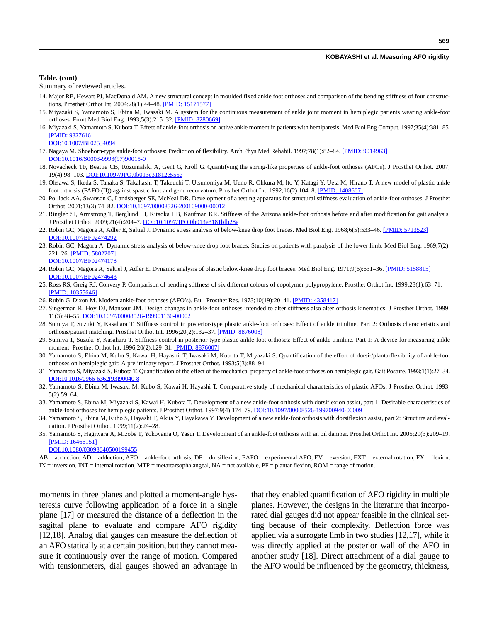#### **KOBAYASHI et al. Measuring AFO rigidity**

#### **Table. (cont)**

Summary of reviewed articles.

- 14. Major RE, Hewart PJ, MacDonald AM. A new structural concept in moulded fixed ankle foot orthoses and comparison of the bending stiffness of four constructions. Prosthet Orthot Int. 2004;28(1):44–48. [\[PMID: 15171577\]](http://www.ncbi.nlm.nih.gov/pubmed/15171577)
- 15. Miyazaki S, Yamamoto S, Ebina M, Iwasaki M. A system for the continuous measurement of ankle joint moment in hemiplegic patients wearing ankle-foot orthoses. Front Med Biol Eng. 1993;5(3):215–32. [\[PMID: 8280669\]](http://www.ncbi.nlm.nih.gov/pubmed/8280669)
- 16. Miyazaki S, Yamamoto S, Kubota T. Effect of ankle-foot orthosis on active ankle moment in patients with hemiparesis. Med Biol Eng Comput. 1997;35(4):381–85. [\[PMID: 9327616\]](http://www.ncbi.nlm.nih.gov/pubmed/9327616)
- [DOI:10.1007/BF02534094](http://dx.doi.org/10.1007/BF02534094)
- 17. Nagaya M. Shoehorn-type ankle-foot orthoses: Prediction of flexibility. Arch Phys Med Rehabil. 1997;78(1):82–84. [\[PMID: 9014963\]](http://www.ncbi.nlm.nih.gov/pubmed/9014963) [DOI:10.1016/S0003-9993\(97\)90015-0](http://dx.doi.org/10.1016/S0003-9993%2897%2990015-0)
- 18. Novacheck TF, Beattie CB, Rozumalski A, Gent G, Kroll G. Quantifying the spring-like properties of ankle-foot orthoses (AFOs). J Prosthet Orthot. 2007; 19(4):98–103. [DOI:10.1097/JPO.0b013e31812e555e](http://dx.doi.org/10.1097/JPO.0b013e31812e555e)
- 19. Ohsawa S, Ikeda S, Tanaka S, Takahashi T, Takeuchi T, Utsunomiya M, Ueno R, Ohkura M, Ito Y, Katagi Y, Ueta M, Hirano T. A new model of plastic ankle foot orthosis (FAFO (II)) against spastic foot and genu recurvatum. Prosthet Orthot Int. 1992;16(2):104–8. [\[PMID: 1408667\]](http://www.ncbi.nlm.nih.gov/pubmed/1408667)
- 20. Polliack AA, Swanson C, Landsberger SE, McNeal DR. Development of a testing apparatus for structural stiffness evaluation of ankle-foot orthoses. J Prosthet Orthot. 2001;13(3):74–82. [DOI:10.1097/00008526-200109000-00012](http://dx.doi.org/10.1097/00008526-200109000-00012)
- 21. Ringleb SI, Armstrong T, Berglund LJ, Kitaoka HB, Kaufman KR. Stiffness of the Arizona ankle-foot orthosis before and after modification for gait analysis. J Prosthet Orthot. 2009;21(4):204–7. [DOI:10.1097/JPO.0b013e3181bfb28e](http://dx.doi.org/10.1097/JPO.0b013e3181bfb28e)
- 22. Robin GC, Magora A, Adler E, Saltiel J. Dynamic stress analysis of below-knee drop foot braces. Med Biol Eng. 1968;6(5):533-46. [\[PMID: 5713523\]](http://www.ncbi.nlm.nih.gov/pubmed/5713523) [DOI:10.1007/BF02474292](http://dx.doi.org/10.1007/BF02474292)
- 23. Robin GC, Magora A. Dynamic stress analysis of below-knee drop foot braces; Studies on patients with paralysis of the lower limb. Med Biol Eng. 1969;7(2): 221–26. [\[PMID: 5802207\]](http://www.ncbi.nlm.nih.gov/pubmed/5802207)
- [DOI:10.1007/BF02474178](http://dx.doi.org/10.1007/BF02474178)
- 24. Robin GC, Magora A, Saltiel J, Adler E. Dynamic analysis of plastic below-knee drop foot braces. Med Biol Eng. 1971;9(6):631–36. [\[PMID: 5158815\]](http://www.ncbi.nlm.nih.gov/pubmed/5158815) [DOI:10.1007/BF02474643](http://dx.doi.org/10.1007/BF02474643)
- 25. Ross RS, Greig RJ, Convery P. Comparison of bending stiffness of six different colours of copolymer polypropylene. Prosthet Orthot Int. 1999;23(1):63–71. [\[PMID: 10355646\]](http://www.ncbi.nlm.nih.gov/pubmed/10355646)
- 26. Rubin G, Dixon M. Modern ankle-foot orthoses (AFO's). Bull Prosthet Res. 1973;10(19):20–41. [\[PMID: 4358417\]](http://www.ncbi.nlm.nih.gov/pubmed/4358417)

27. Singerman R, Hoy DJ, Mansour JM. Design changes in ankle-foot orthoses intended to alter stiffness also alter orthosis kinematics. J Prosthet Orthot. 1999; 11(3):48–55. [DOI:10.1097/00008526-199901130-00002](http://dx.doi.org/10.1097/00008526-199901130-00002)

- 28. Sumiya T, Suzuki Y, Kasahara T. Stiffness control in posterior-type plastic ankle-foot orthoses: Effect of ankle trimline. Part 2: Orthosis characteristics and orthosis/patient matching. Prosthet Orthot Int. 1996;20(2):132–37. [\[PMID: 8876008\]](http://www.ncbi.nlm.nih.gov/pubmed/8876008)
- 29. Sumiya T, Suzuki Y, Kasahara T. Stiffness control in posterior-type plastic ankle-foot orthoses: Effect of ankle trimline. Part 1: A device for measuring ankle moment. Prosthet Orthot Int. 1996;20(2):129–31. [\[PMID: 8876007\]](http://www.ncbi.nlm.nih.gov/pubmed/8876007)
- 30. Yamamoto S, Ebina M, Kubo S, Kawai H, Hayashi, T, Iwasaki M, Kubota T, Miyazaki S. Quantification of the effect of dorsi-/plantarflexibility of ankle-foot orthoses on hemiplegic gait: A preliminary report. J Prosthet Orthot. 1993;5(3):88–94.
- 31. Yamamoto S, Miyazaki S, Kubota T. Quantification of the effect of the mechanical property of ankle-foot orthoses on hemiplegic gait. Gait Posture. 1993;1(1):27–34. [DOI:10.1016/0966-6362\(93\)90040-8](http://dx.doi.org/10.1016/0966-6362%2893%2990040-8)
- 32. Yamamoto S, Ebina M, Iwasaki M, Kubo S, Kawai H, Hayashi T. Comparative study of mechanical characteristics of plastic AFOs. J Prosthet Orthot. 1993; 5(2):59–64.
- 33. Yamamoto S, Ebina M, Miyazaki S, Kawai H, Kubota T. Development of a new ankle-foot orthosis with dorsiflexion assist, part 1: Desirable characteristics of ankle-foot orthoses for hemiplegic patients. J Prosthet Orthot. 1997;9(4):174–79. [DOI:10.1097/00008526-199700940-00009](http://dx.doi.org/10.1097/00008526-199700940-00009)
- 34. Yamamoto S, Ebina M, Kubo S, Hayashi T, Akita Y, Hayakawa Y. Development of a new ankle-foot orthosis with dorsiflexion assist, part 2: Structure and evaluation. J Prosthet Orthot. 1999;11(2):24–28.
- 35. Yamamoto S, Hagiwara A, Mizobe T, Yokoyama O, Yasui T. Development of an ankle-foot orthosis with an oil damper. Prosthet Orthot Int. 2005;29(3):209–19. [\[PMID: 16466151\]](http://www.ncbi.nlm.nih.gov/pubmed/16466151)

[DOI:10.1080/03093640500199455](http://dx.doi.org/10.1080/03093640500199455)

AB = abduction, AD = adduction, AFO = ankle-foot orthosis, DF = dorsiflexion, EAFO = experimental AFO, EV = eversion, EXT = external rotation, FX = flexion, IN = inversion, INT = internal rotation, MTP = metartarsophalangeal, NA = not available, PF = plantar flexion, ROM = range of motion.

moments in three planes and plotted a moment-angle hysteresis curve following application of a force in a single plane [17] or measured the distance of a deflection in the sagittal plane to evaluate and compare AFO rigidity [12,18]. Analog dial gauges can measure the deflection of an AFO statically at a certain position, but they cannot measure it continuously over the range of motion. Compared with tensionmeters, dial gauges showed an advantage in that they enabled quantification of AFO rigidity in multiple planes. However, the designs in the literature that incorporated dial gauges did not appear feasible in the clinical setting because of their complexity. Deflection force was applied via a surrogate limb in two studies [12,17], while it was directly applied at the posterior wall of the AFO in another study [18]. Direct attachment of a dial gauge to the AFO would be influenced by the geometry, thickness,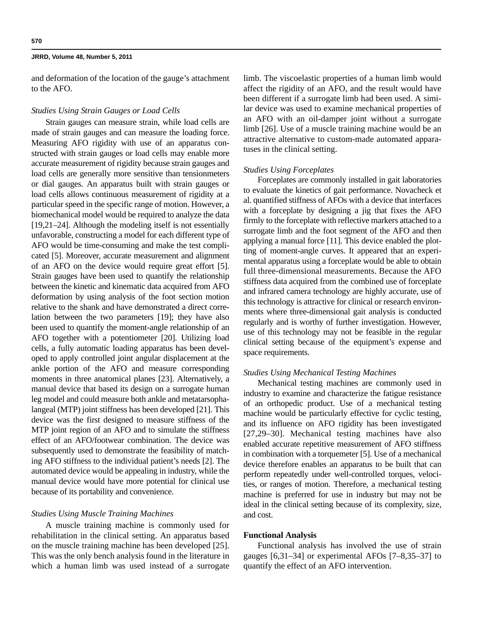and deformation of the location of the gauge's attachment to the AFO.

#### *Studies Using Strain Gauges or Load Cells*

Strain gauges can measure strain, while load cells are made of strain gauges and can measure the loading force. Measuring AFO rigidity with use of an apparatus constructed with strain gauges or load cells may enable more accurate measurement of rigidity because strain gauges and load cells are generally more sensitive than tensionmeters or dial gauges. An apparatus built with strain gauges or load cells allows continuous measurement of rigidity at a particular speed in the specific range of motion. However, a biomechanical model would be required to analyze the data [19,21–24]. Although the modeling itself is not essentially unfavorable, constructing a model for each different type of AFO would be time-consuming and make the test complicated [5]. Moreover, accurate measurement and alignment of an AFO on the device would require great effort [5]. Strain gauges have been used to quantify the relationship between the kinetic and kinematic data acquired from AFO deformation by using analysis of the foot section motion relative to the shank and have demonstrated a direct correlation between the two parameters [19]; they have also been used to quantify the moment-angle relationship of an AFO together with a potentiometer [20]. Utilizing load cells, a fully automatic loading apparatus has been developed to apply controlled joint angular displacement at the ankle portion of the AFO and measure corresponding moments in three anatomical planes [23]. Alternatively, a manual device that based its design on a surrogate human leg model and could measure both ankle and metatarsophalangeal (MTP) joint stiffness has been developed [21]. This device was the first designed to measure stiffness of the MTP joint region of an AFO and to simulate the stiffness effect of an AFO/footwear combination. The device was subsequently used to demonstrate the feasibility of matching AFO stiffness to the individual patient's needs [2]. The automated device would be appealing in industry, while the manual device would have more potential for clinical use because of its portability and convenience.

### *Studies Using Muscle Training Machines*

A muscle training machine is commonly used for rehabilitation in the clinical setting. An apparatus based on the muscle training machine has been developed [25]. This was the only bench analysis found in the literature in which a human limb was used instead of a surrogate limb. The viscoelastic properties of a human limb would affect the rigidity of an AFO, and the result would have been different if a surrogate limb had been used. A similar device was used to examine mechanical properties of an AFO with an oil-damper joint without a surrogate limb [26]. Use of a muscle training machine would be an attractive alternative to custom-made automated apparatuses in the clinical setting.

#### *Studies Using Forceplates*

Forceplates are commonly installed in gait laboratories to evaluate the kinetics of gait performance. Novacheck et al. quantified stiffness of AFOs with a device that interfaces with a forceplate by designing a jig that fixes the AFO firmly to the forceplate with reflective markers attached to a surrogate limb and the foot segment of the AFO and then applying a manual force [11]. This device enabled the plotting of moment-angle curves. It appeared that an experimental apparatus using a forceplate would be able to obtain full three-dimensional measurements. Because the AFO stiffness data acquired from the combined use of forceplate and infrared camera technology are highly accurate, use of this technology is attractive for clinical or research environments where three-dimensional gait analysis is conducted regularly and is worthy of further investigation. However, use of this technology may not be feasible in the regular clinical setting because of the equipment's expense and space requirements.

### *Studies Using Mechanical Testing Machines*

Mechanical testing machines are commonly used in industry to examine and characterize the fatigue resistance of an orthopedic product. Use of a mechanical testing machine would be particularly effective for cyclic testing, and its influence on AFO rigidity has been investigated [27,29–30]. Mechanical testing machines have also enabled accurate repetitive measurement of AFO stiffness in combination with a torquemeter [5]. Use of a mechanical device therefore enables an apparatus to be built that can perform repeatedly under well-controlled torques, velocities, or ranges of motion. Therefore, a mechanical testing machine is preferred for use in industry but may not be ideal in the clinical setting because of its complexity, size, and cost.

### **Functional Analysis**

Functional analysis has involved the use of strain gauges [6,31–34] or experimental AFOs [7–8,35–37] to quantify the effect of an AFO intervention.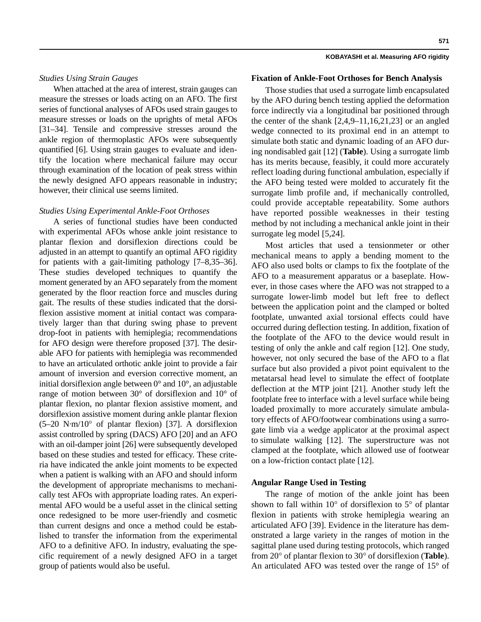## *Studies Using Strain Gauges*

When attached at the area of interest, strain gauges can measure the stresses or loads acting on an AFO. The first series of functional analyses of AFOs used strain gauges to measure stresses or loads on the uprights of metal AFOs [31–34]. Tensile and compressive stresses around the ankle region of thermoplastic AFOs were subsequently quantified [6]. Using strain gauges to evaluate and identify the location where mechanical failure may occur through examination of the location of peak stress within the newly designed AFO appears reasonable in industry; however, their clinical use seems limited.

#### *Studies Using Experimental Ankle-Foot Orthoses*

A series of functional studies have been conducted with experimental AFOs whose ankle joint resistance to plantar flexion and dorsiflexion directions could be adjusted in an attempt to quantify an optimal AFO rigidity for patients with a gait-limiting pathology [7–8,35–36]. These studies developed techniques to quantify the moment generated by an AFO separately from the moment generated by the floor reaction force and muscles during gait. The results of these studies indicated that the dorsiflexion assistive moment at initial contact was comparatively larger than that during swing phase to prevent drop-foot in patients with hemiplegia; recommendations for AFO design were therefore proposed [37]. The desirable AFO for patients with hemiplegia was recommended to have an articulated orthotic ankle joint to provide a fair amount of inversion and eversion corrective moment, an initial dorsiflexion angle between 0° and 10°, an adjustable range of motion between 30° of dorsiflexion and 10° of plantar flexion, no plantar flexion assistive moment, and dorsiflexion assistive moment during ankle plantar flexion  $(5-20 \text{ N}\cdot\text{m}/10^{\circ} \text{ of plantar flexion})$  [37]. A dorsiflexion assist controlled by spring (DACS) AFO [20] and an AFO with an oil-damper joint [26] were subsequently developed based on these studies and tested for efficacy. These criteria have indicated the ankle joint moments to be expected when a patient is walking with an AFO and should inform the development of appropriate mechanisms to mechanically test AFOs with appropriate loading rates. An experimental AFO would be a useful asset in the clinical setting once redesigned to be more user-friendly and cosmetic than current designs and once a method could be established to transfer the information from the experimental AFO to a definitive AFO. In industry, evaluating the specific requirement of a newly designed AFO in a target group of patients would also be useful.

#### **KOBAYASHI et al. Measuring AFO rigidity**

#### **Fixation of Ankle-Foot Orthoses for Bench Analysis**

Those studies that used a surrogate limb encapsulated by the AFO during bench testing applied the deformation force indirectly via a longitudinal bar positioned through the center of the shank  $[2,4,9-11,16,21,23]$  or an angled wedge connected to its proximal end in an attempt to simulate both static and dynamic loading of an AFO during nondisabled gait [12] (**Table**). Using a surrogate limb has its merits because, feasibly, it could more accurately reflect loading during functional ambulation, especially if the AFO being tested were molded to accurately fit the surrogate limb profile and, if mechanically controlled, could provide acceptable repeatability. Some authors have reported possible weaknesses in their testing method by not including a mechanical ankle joint in their surrogate leg model [5,24].

Most articles that used a tensionmeter or other mechanical means to apply a bending moment to the AFO also used bolts or clamps to fix the footplate of the AFO to a measurement apparatus or a baseplate. However, in those cases where the AFO was not strapped to a surrogate lower-limb model but left free to deflect between the application point and the clamped or bolted footplate, unwanted axial torsional effects could have occurred during deflection testing. In addition, fixation of the footplate of the AFO to the device would result in testing of only the ankle and calf region [12]. One study, however, not only secured the base of the AFO to a flat surface but also provided a pivot point equivalent to the metatarsal head level to simulate the effect of footplate deflection at the MTP joint [21]. Another study left the footplate free to interface with a level surface while being loaded proximally to more accurately simulate ambulatory effects of AFO/footwear combinations using a surrogate limb via a wedge applicator at the proximal aspect to simulate walking [12]. The superstructure was not clamped at the footplate, which allowed use of footwear on a low-friction contact plate [12].

#### **Angular Range Used in Testing**

The range of motion of the ankle joint has been shown to fall within  $10^{\circ}$  of dorsiflexion to  $5^{\circ}$  of plantar flexion in patients with stroke hemiplegia wearing an articulated AFO [39]. Evidence in the literature has demonstrated a large variety in the ranges of motion in the sagittal plane used during testing protocols, which ranged from 20° of plantar flexion to 30° of dorsiflexion (**Table**). An articulated AFO was tested over the range of 15° of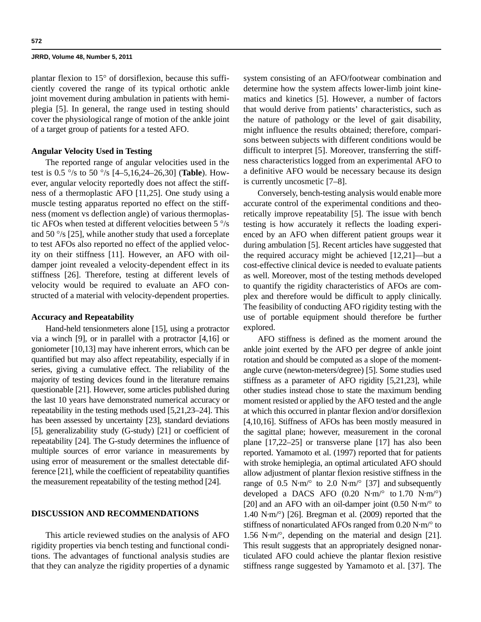plantar flexion to  $15^{\circ}$  of dorsiflexion, because this sufficiently covered the range of its typical orthotic ankle joint movement during ambulation in patients with hemiplegia [5]. In general, the range used in testing should cover the physiological range of motion of the ankle joint of a target group of patients for a tested AFO.

## **Angular Velocity Used in Testing**

The reported range of angular velocities used in the test is 0.5  $\degree$ /s to 50  $\degree$ /s [4–5,16,24–26,30] (**Table**). However, angular velocity reportedly does not affect the stiffness of a thermoplastic AFO [11,25]. One study using a muscle testing apparatus reported no effect on the stiffness (moment vs deflection angle) of various thermoplastic AFOs when tested at different velocities between  $5 \degree$ /s and 50 $\degree$ /s [25], while another study that used a forceplate to test AFOs also reported no effect of the applied velocity on their stiffness [11]. However, an AFO with oildamper joint revealed a velocity-dependent effect in its stiffness [26]. Therefore, testing at different levels of velocity would be required to evaluate an AFO constructed of a material with velocity-dependent properties.

#### **Accuracy and Repeatability**

Hand-held tensionmeters alone [15], using a protractor via a winch [9], or in parallel with a protractor [4,16] or goniometer [10,13] may have inherent errors, which can be quantified but may also affect repeatability, especially if in series, giving a cumulative effect. The reliability of the majority of testing devices found in the literature remains questionable [21]. However, some articles published during the last 10 years have demonstrated numerical accuracy or repeatability in the testing methods used [5,21,23–24]. This has been assessed by uncertainty [23], standard deviations [5], generalizability study (G-study) [21] or coefficient of repeatability [24]. The G-study determines the influence of multiple sources of error variance in measurements by using error of measurement or the smallest detectable difference [21], while the coefficient of repeatability quantifies the measurement repeatability of the testing method [24].

## **DISCUSSION AND RECOMMENDATIONS**

This article reviewed studies on the analysis of AFO rigidity properties via bench testing and functional conditions. The advantages of functional analysis studies are that they can analyze the rigidity properties of a dynamic

system consisting of an AFO/footwear combination and determine how the system affects lower-limb joint kinematics and kinetics [5]. However, a number of factors that would derive from patients' characteristics, such as the nature of pathology or the level of gait disability, might influence the results obtained; therefore, comparisons between subjects with different conditions would be difficult to interpret [5]. Moreover, transferring the stiffness characteristics logged from an experimental AFO to a definitive AFO would be necessary because its design is currently uncosmetic [7–8].

Conversely, bench-testing analysis would enable more accurate control of the experimental conditions and theoretically improve repeatability [5]. The issue with bench testing is how accurately it reflects the loading experienced by an AFO when different patient groups wear it during ambulation [5]. Recent articles have suggested that the required accuracy might be achieved [12,21]—but a cost-effective clinical device is needed to evaluate patients as well. Moreover, most of the testing methods developed to quantify the rigidity characteristics of AFOs are complex and therefore would be difficult to apply clinically. The feasibility of conducting AFO rigidity testing with the use of portable equipment should therefore be further explored.

AFO stiffness is defined as the moment around the ankle joint exerted by the AFO per degree of ankle joint rotation and should be computed as a slope of the momentangle curve (newton-meters/degree) [5]. Some studies used stiffness as a parameter of AFO rigidity [5,21,23], while other studies instead chose to state the maximum bending moment resisted or applied by the AFO tested and the angle at which this occurred in plantar flexion and/or dorsiflexion [4,10,16]. Stiffness of AFOs has been mostly measured in the sagittal plane; however, measurement in the coronal plane [17,22–25] or transverse plane [17] has also been reported. Yamamoto et al. (1997) reported that for patients with stroke hemiplegia, an optimal articulated AFO should allow adjustment of plantar flexion resistive stiffness in the range of 0.5 N·m/ $\degree$  to 2.0 N·m/ $\degree$  [37] and subsequently developed a DACS AFO  $(0.20 \text{ N} \cdot \text{m}^{\prime \circ} \text{ to } 1.70 \text{ N} \cdot \text{m}^{\prime \circ})$ [20] and an AFO with an oil-damper joint  $(0.50 \text{ N} \cdot \text{m/s})$  to 1.40  $N·m$ <sup>o</sup>) [26]. Bregman et al. (2009) reported that the stiffness of nonarticulated AFOs ranged from  $0.20$  N·m/ $\degree$  to 1.56 N·m/ $\degree$ , depending on the material and design [21]. This result suggests that an appropriately designed nonarticulated AFO could achieve the plantar flexion resistive stiffness range suggested by Yamamoto et al. [37]. The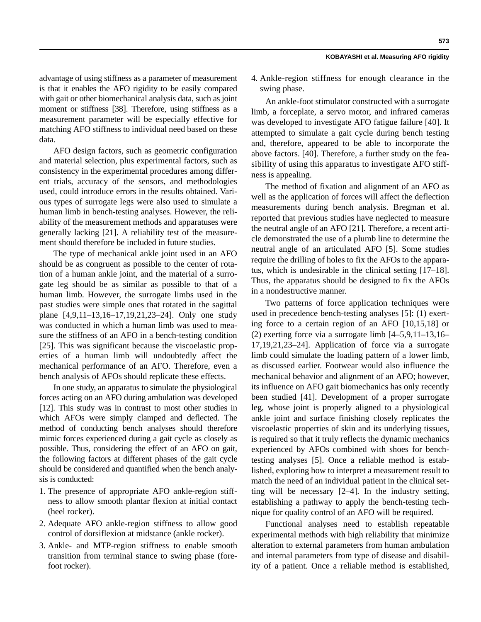**573**

advantage of using stiffness as a parameter of measurement is that it enables the AFO rigidity to be easily compared with gait or other biomechanical analysis data, such as joint moment or stiffness [38]. Therefore, using stiffness as a measurement parameter will be especially effective for matching AFO stiffness to individual need based on these data.

AFO design factors, such as geometric configuration and material selection, plus experimental factors, such as consistency in the experimental procedures among different trials, accuracy of the sensors, and methodologies used, could introduce errors in the results obtained. Various types of surrogate legs were also used to simulate a human limb in bench-testing analyses. However, the reliability of the measurement methods and apparatuses were generally lacking [21]. A reliability test of the measurement should therefore be included in future studies.

The type of mechanical ankle joint used in an AFO should be as congruent as possible to the center of rotation of a human ankle joint, and the material of a surrogate leg should be as similar as possible to that of a human limb. However, the surrogate limbs used in the past studies were simple ones that rotated in the sagittal plane [4,9,11–13,16–17,19,21,23–24]. Only one study was conducted in which a human limb was used to measure the stiffness of an AFO in a bench-testing condition [25]. This was significant because the viscoelastic properties of a human limb will undoubtedly affect the mechanical performance of an AFO. Therefore, even a bench analysis of AFOs should replicate these effects.

In one study, an apparatus to simulate the physiological forces acting on an AFO during ambulation was developed [12]. This study was in contrast to most other studies in which AFOs were simply clamped and deflected. The method of conducting bench analyses should therefore mimic forces experienced during a gait cycle as closely as possible. Thus, considering the effect of an AFO on gait, the following factors at different phases of the gait cycle should be considered and quantified when the bench analysis is conducted:

- 1. The presence of appropriate AFO ankle-region stiffness to allow smooth plantar flexion at initial contact (heel rocker).
- 2. Adequate AFO ankle-region stiffness to allow good control of dorsiflexion at midstance (ankle rocker).
- 3. Ankle- and MTP-region stiffness to enable smooth transition from terminal stance to swing phase (forefoot rocker).

4. Ankle-region stiffness for enough clearance in the swing phase.

An ankle-foot stimulator constructed with a surrogate limb, a forceplate, a servo motor, and infrared cameras was developed to investigate AFO fatigue failure [40]. It attempted to simulate a gait cycle during bench testing and, therefore, appeared to be able to incorporate the above factors. [40]. Therefore, a further study on the feasibility of using this apparatus to investigate AFO stiffness is appealing.

The method of fixation and alignment of an AFO as well as the application of forces will affect the deflection measurements during bench analysis. Bregman et al. reported that previous studies have neglected to measure the neutral angle of an AFO [21]. Therefore, a recent article demonstrated the use of a plumb line to determine the neutral angle of an articulated AFO [5]. Some studies require the drilling of holes to fix the AFOs to the apparatus, which is undesirable in the clinical setting [17–18]. Thus, the apparatus should be designed to fix the AFOs in a nondestructive manner.

Two patterns of force application techniques were used in precedence bench-testing analyses [5]: (1) exerting force to a certain region of an AFO [10,15,18] or (2) exerting force via a surrogate limb  $[4-5,9,11-13,16-$ 17,19,21,23–24]. Application of force via a surrogate limb could simulate the loading pattern of a lower limb, as discussed earlier. Footwear would also influence the mechanical behavior and alignment of an AFO; however, its influence on AFO gait biomechanics has only recently been studied [41]. Development of a proper surrogate leg, whose joint is properly aligned to a physiological ankle joint and surface finishing closely replicates the viscoelastic properties of skin and its underlying tissues, is required so that it truly reflects the dynamic mechanics experienced by AFOs combined with shoes for benchtesting analyses [5]. Once a reliable method is established, exploring how to interpret a measurement result to match the need of an individual patient in the clinical setting will be necessary [2–4]. In the industry setting, establishing a pathway to apply the bench-testing technique for quality control of an AFO will be required.

Functional analyses need to establish repeatable experimental methods with high reliability that minimize alteration to external parameters from human ambulation and internal parameters from type of disease and disability of a patient. Once a reliable method is established,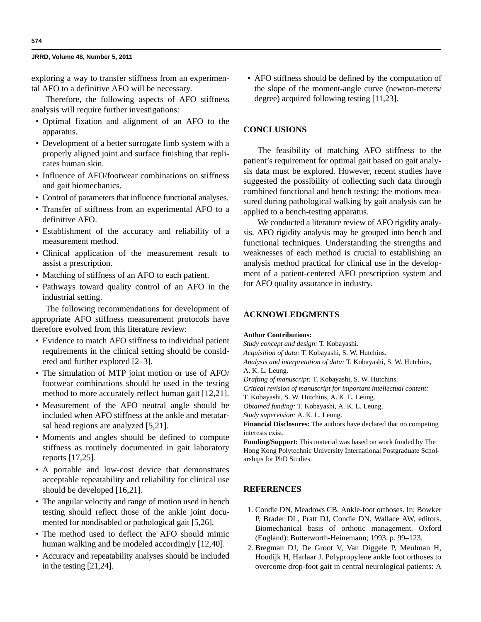exploring a way to transfer stiffness from an experimental AFO to a definitive AFO will be necessary.

Therefore, the following aspects of AFO stiffness analysis will require further investigations:

- Optimal fixation and alignment of an AFO to the apparatus.
- Development of a better surrogate limb system with a properly aligned joint and surface finishing that replicates human skin.
- Influence of AFO/footwear combinations on stiffness and gait biomechanics.
- Control of parameters that influence functional analyses.
- Transfer of stiffness from an experimental AFO to a definitive AFO.
- Establishment of the accuracy and reliability of a measurement method.
- Clinical application of the measurement result to assist a prescription.
- Matching of stiffness of an AFO to each patient.
- Pathways toward quality control of an AFO in the industrial setting.

The following recommendations for development of appropriate AFO stiffness measurement protocols have therefore evolved from this literature review:

- Evidence to match AFO stiffness to individual patient requirements in the clinical setting should be considered and further explored [2–3].
- The simulation of MTP joint motion or use of AFO/ footwear combinations should be used in the testing method to more accurately reflect human gait [12,21].
- Measurement of the AFO neutral angle should be included when AFO stiffness at the ankle and metatarsal head regions are analyzed [5,21].
- Moments and angles should be defined to compute stiffness as routinely documented in gait laboratory reports [17,25].
- A portable and low-cost device that demonstrates acceptable repeatability and reliability for clinical use should be developed [16,21].
- The angular velocity and range of motion used in bench testing should reflect those of the ankle joint documented for nondisabled or pathological gait [5,26].
- The method used to deflect the AFO should mimic human walking and be modeled accordingly [12,40].
- Accuracy and repeatability analyses should be included in the testing [21,24].

 • AFO stiffness should be defined by the computation of the slope of the moment-angle curve (newton-meters/ degree) acquired following testing [11,23].

## **CONCLUSIONS**

The feasibility of matching AFO stiffness to the patient's requirement for optimal gait based on gait analysis data must be explored. However, recent studies have suggested the possibility of collecting such data through combined functional and bench testing: the motions measured during pathological walking by gait analysis can be applied to a bench-testing apparatus.

We conducted a literature review of AFO rigidity analysis. AFO rigidity analysis may be grouped into bench and functional techniques. Understanding the strengths and weaknesses of each method is crucial to establishing an analysis method practical for clinical use in the development of a patient-centered AFO prescription system and for AFO quality assurance in industry.

## **ACKNOWLEDGMENTS**

#### **Author Contributions:**

*Study concept and design:* T. Kobayashi.

*Acquisition of data:* T. Kobayashi, S. W. Hutchins.

*Analysis and interpretation of data:* T. Kobayashi, S. W. Hutchins, A. K. L. Leung.

*Drafting of manuscript:* T. Kobayashi, S. W. Hutchins.

*Critical revision of manuscript for important intellectual content:* T. Kobayashi, S. W. Hutchins, A. K. L. Leung.

*Obtained funding:* T. Kobayashi, A. K. L. Leung.

*Study supervision:* A. K. L. Leung.

**Financial Disclosures:** The authors have declared that no competing interests exist.

**Funding/Support:** This material was based on work funded by The Hong Kong Polytechnic University International Postgraduate Scholarships for PhD Studies.

## **REFERENCES**

- 1. Condie DN, Meadows CB. Ankle-foot orthoses. In: Bowker P, Brader DL, Pratt DJ, Condie DN, Wallace AW, editors. Biomechanical basis of orthotic management. Oxford (England): Butterworth-Heinemann; 1993. p. 99–123.
- 2. Bregman DJ, De Groot V, Van Diggele P, Meulman H, Houdijk H, Harlaar J. Polypropylene ankle foot orthoses to overcome drop-foot gait in central neurological patients: A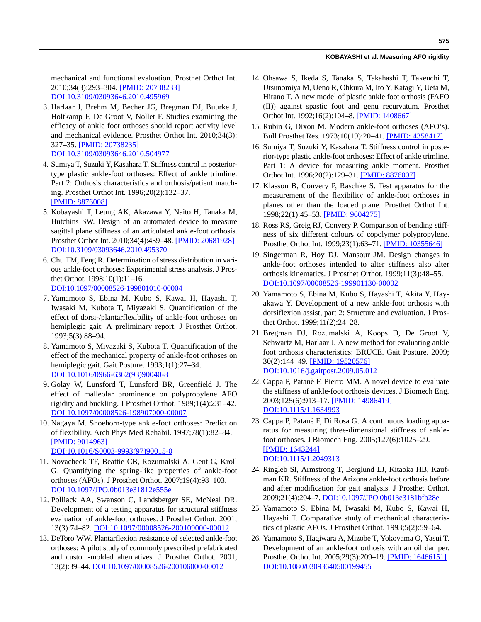#### **KOBAYASHI et al. Measuring AFO rigidity**

mechanical and functional evaluation. Prosthet Orthot Int. 2010;34(3):293–304. [\[PMID: 20738233\]](http://www.ncbi.nlm.nih.gov/pubmed/20738233) [DOI:10.3109/03093646.2010.495969](http://dx.doi.org/10.3109/03093646.2010.495969)

- 3. Harlaar J, Brehm M, Becher JG, Bregman DJ, Buurke J, Holtkamp F, De Groot V, Nollet F. Studies examining the efficacy of ankle foot orthoses should report activity level and mechanical evidence. Prosthet Orthot Int. 2010;34(3): 327–35. [\[PMID: 20738235\]](http://www.ncbi.nlm.nih.gov/pubmed/20738235) [DOI:10.3109/03093646.2010.504977](http://dx.doi.org/10.3109/03093646.2010.504977)
- 4. Sumiya T, Suzuki Y, Kasahara T. Stiffness control in posteriortype plastic ankle-foot orthoses: Effect of ankle trimline. Part 2: Orthosis characteristics and orthosis/patient matching. Prosthet Orthot Int. 1996;20(2):132–37. [\[PMID: 8876008\]](http://www.ncbi.nlm.nih.gov/pubmed/8876008)
- 5. Kobayashi T, Leung AK, Akazawa Y, Naito H, Tanaka M, Hutchins SW. Design of an automated device to measure sagittal plane stiffness of an articulated ankle-foot orthosis. Prosthet Orthot Int. 2010;34(4):439–48. [\[PMID: 20681928\]](http://www.ncbi.nlm.nih.gov/pubmed/20681928) [DOI:10.3109/03093646.2010.495370](http://dx.doi.org/10.3109/03093646.2010.495370)
- 6. Chu TM, Feng R. Determination of stress distribution in various ankle-foot orthoses: Experimental stress analysis. J Prosthet Orthot. 1998;10(1):11–16. [DOI:10.1097/00008526-199801010-00004](http://dx.doi.org/10.1097/00008526-199801010-00004)
- 7. Yamamoto S, Ebina M, Kubo S, Kawai H, Hayashi T, Iwasaki M, Kubota T, Miyazaki S. Quantification of the effect of dorsi-/plantarflexibility of ankle-foot orthoses on hemiplegic gait: A preliminary report. J Prosthet Orthot. 1993;5(3):88–94.
- 8. Yamamoto S, Miyazaki S, Kubota T. Quantification of the effect of the mechanical property of ankle-foot orthoses on hemiplegic gait. Gait Posture. 1993;1(1):27–34. [DOI:10.1016/0966-6362\(93\)90040-8](http://dx.doi.org/10.1016/0966-6362%2893%2990040-8)
- 9. [Golay W, Lunsford T, Lunsford BR, Greenfield J. The](http://dx.doi.org/10.1097/00008526-198907000-00007)  [effect of malleolar prominence on polypropylene AFO](http://dx.doi.org/10.1097/00008526-198907000-00007)  rigidity and buckling. J Prosthet Orthot. 1989;1(4):231–42. [D](http://dx.doi.org/10.1097/00008526-198907000-00007)OI:10.1097/00008526-198907000-00007
- 10. Nagaya M. Shoehorn-type ankle-foot orthoses: Prediction of flexibility. Arch Phys Med Rehabil. 1997;78(1):82–84. [\[PMID: 9014963\]](http://www.ncbi.nlm.nih.gov/pubmed/9014963) [DOI:10.1016/S0003-9993\(97\)90015-0](http://dx.doi.org/10.1016/S0003-9993%2897%2990015-0)
- 11. Novacheck TF, Beattie CB, Rozumalski A, Gent G, Kroll G. Quantifying the spring-like properties of ankle-foot orthoses (AFOs). J Prosthet Orthot. 2007;19(4):98–103. [DOI:10.1097/JPO.0b013e31812e555e](http://dx.doi.org/10.1097/JPO.0b013e31812e555e)
- 12. Polliack AA, Swanson C, Landsberger SE, McNeal DR. Development of a testing apparatus for structural stiffness evaluation of ankle-foot orthoses. J Prosthet Orthot. 2001; 13(3):74–82. [DOI:10.1097/00008526-200109000-00012](http://dx.doi.org/10.1097/00008526-200109000-00012)
- 13. DeToro WW. Plantarflexion resistance of selected ankle-foot orthoses: A pilot study of commonly prescribed prefabricated and custom-molded alternatives. J Prosthet Orthot. 2001; 13(2):39–44. [DOI:10.1097/00008526-200106000-00012](http://dx.doi.org/10.1097/00008526-200106000-00012)
- 14. Ohsawa S, Ikeda S, Tanaka S, Takahashi T, Takeuchi T, Utsunomiya M, Ueno R, Ohkura M, Ito Y, Katagi Y, Ueta M, Hirano T. A new model of plastic ankle foot orthosis (FAFO (II)) against spastic foot and genu recurvatum. Prosthet Orthot Int. 1992;16(2):104–8. [\[PMID: 1408667\]](http://www.ncbi.nlm.nih.gov/pubmed/1408667)
- 15. Rubin G, Dixon M. Modern ankle-foot orthoses (AFO's). Bull Prosthet Res. 1973;10(19):20–41. [\[PMID: 4358417\]](http://www.ncbi.nlm.nih.gov/pubmed/4358417)
- 16. Sumiya T, Suzuki Y, Kasahara T. Stiffness control in posterior-type plastic ankle-foot orthoses: Effect of ankle trimline. Part 1: A device for measuring ankle moment. Prosthet Orthot Int. 1996;20(2):129–31. [\[PMID: 8876007\]](http://www.ncbi.nlm.nih.gov/pubmed/8876007)
- 17. Klasson B, Convery P, Raschke S. Test apparatus for the measurement of the flexibility of ankle-foot orthoses in planes other than the loaded plane. Prosthet Orthot Int. 1998;22(1):45–53. [\[PMID: 9604275\]](http://www.ncbi.nlm.nih.gov/pubmed/9604275)
- 18. Ross RS, Greig RJ, Convery P. Comparison of bending stiffness of six different colours of copolymer polypropylene. Prosthet Orthot Int. 1999;23(1):63–71. [\[PMID: 10355646\]](http://www.ncbi.nlm.nih.gov/pubmed/10355646)
- 19. Singerman R, Hoy DJ, Mansour JM. Design changes in ankle-foot orthoses intended to alter stiffness also alter orthosis kinematics. J Prosthet Orthot. 1999;11(3):48–55. [DOI:10.1097/00008526-199901130-00002](http://dx.doi.org/10.1097/00008526-199901130-00002)
- 20. Yamamoto S, Ebina M, Kubo S, Hayashi T, Akita Y, Hayakawa Y. Development of a new ankle-foot orthosis with dorsiflexion assist, part 2: Structure and evaluation. J Prosthet Orthot. 1999;11(2):24–28.
- 21. Bregman DJ, Rozumalski A, Koops D, De Groot V, Schwartz M, Harlaar J. A new method for evaluating ankle foot orthosis characteristics: BRUCE. Gait Posture. 2009; 30(2):144–49. [\[PMID: 19520576\]](http://www.ncbi.nlm.nih.gov/pubmed/19520576) [DOI:10.1016/j.gaitpost.2009.05.012](http://dx.doi.org/10.1016/j.gaitpost.2009.05.012)
- 22. Cappa P, Patanè F, Pierro MM. A novel device to evaluate the stiffness of ankle-foot orthosis devices. J Biomech Eng. 2003;125(6):913–17. [\[PMID: 14986419\]](http://www.ncbi.nlm.nih.gov/pubmed/14986419) [DOI:10.1115/1.1634993](http://dx.doi.org/10.1115/1.1634993)
- 23. Cappa P, Patanè F, Di Rosa G. A continuous loading apparatus for measuring three-dimensional stiffness of anklefoot orthoses. J Biomech Eng. 2005;127(6):1025–29. [\[PMID: 1643244\]](http://www.ncbi.nlm.nih.gov/pubmed/16438244) [DOI:10.1115/1.2049313](http://dx.doi.org/10.1115/1.2049313)
- 24. Ringleb SI, Armstrong T, Berglund LJ, Kitaoka HB, Kaufman KR. Stiffness of the Arizona ankle-foot orthosis before and after modification for gait analysis. J Prosthet Orthot. 2009;21(4):204–7. [DOI:10.1097/JPO.0b013e3181bfb28e](http://dx.doi.org/10.1097/JPO.0b013e3181bfb28e)
- 25. Yamamoto S, Ebina M, Iwasaki M, Kubo S, Kawai H, Hayashi T. Comparative study of mechanical characteristics of plastic AFOs. J Prosthet Orthot. 1993;5(2):59–64.
- 26. Yamamoto S, Hagiwara A, Mizobe T, Yokoyama O, Yasui T. Development of an ankle-foot orthosis with an oil damper. Prosthet Orthot Int. 2005;29(3):209–19. [\[PMID: 16466151\]](http://www.ncbi.nlm.nih.gov/pubmed/16466151) [DOI:10.1080/03093640500199455](http://dx.doi.org/10.1080/03093640500199455)